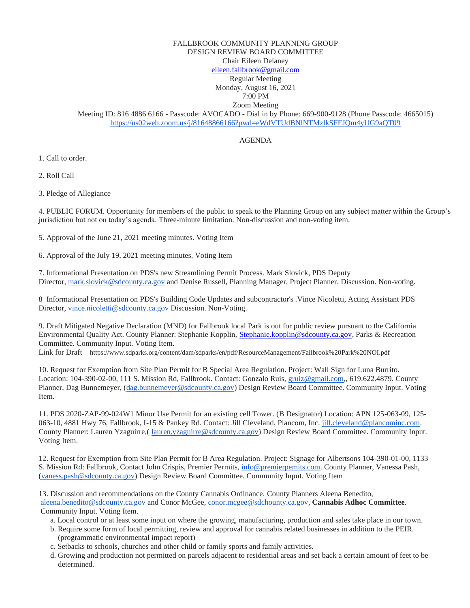## FALLBROOK COMMUNITY PLANNING GROUP DESIGN REVIEW BOARD COMMITTEE Chair Eileen Delaney [eileen.fallbrook@gmail.com](mailto:eileen.fallbrook@gmail.com) Regular Meeting Monday, August 16, 2021 7:00 PM

Zoom Meeting Meeting ID: 816 4886 6166 - Passcode: AVOCADO - Dial in by Phone: 669-900-9128 (Phone Passcode: 4665015) <https://us02web.zoom.us/j/81648866166?pwd=eWdVTUdBNlNTMzlkSFFJQm4yUG9aQT09>

## AGENDA

1. Call to order.

2. Roll Call

3. Pledge of Allegiance

4. PUBLIC FORUM. Opportunity for members of the public to speak to the Planning Group on any subject matter within the Group's jurisdiction but not on today's agenda. Three-minute limitation. Non-discussion and non-voting item.

5. Approval of the June 21, 2021 meeting minutes. Voting Item

6. Approval of the July 19, 2021 meeting minutes. Voting Item

7. Informational Presentation on PDS's new Streamlining Permit Process. Mark Slovick, PDS Deputy Director, [mark.slovick@sdcounty.ca.gov](mailto:mark.slovick@sdcounty.ca.gov) and Denise Russell, Planning Manager, Project Planner. Discussion. Non-voting.

8 Informational Presentation on PDS's Building Code Updates and subcontractor's .Vince Nicoletti, Acting Assistant PDS Director, [vince.nicoletti@sdcounty.ca.gov](mailto:vince.nicoletti@sdcounty.ca.gov) Discussion. Non-Voting.

9. Draft Mitigated Negative Declaration (MND) for Fallbrook local Park is out for public review pursuant to the California Environmental Quality Act. County Planner: Stephanie Kopplin, [Stephanie.kopplin@sdcounty.ca.gov,](mailto:Stephanie.kopplin@sdcounty.ca.gov) Parks & Recreation Committee. Community Input. Voting Item.

Link for Draft https://www.sdparks.org/content/dam/sdparks/en/pdf/ResourceManagement/Fallbrook%20Park%20NOI.pdf

10. Request for Exemption from Site Plan Permit for B Special Area Regulation. Project: Wall Sign for Luna Burrito. Location: 104-390-02-00, 111 S. Mission Rd, Fallbrook. Contact: Gonzalo Ruis, [gruiz@gmail.com,](mailto:gruiz@gmail.com), 619.622.4879. County Planner, Dag Bunnemeyer, [\(dag.bunnemeyer@sdcounty.ca.gov\)](mailto:dag.bunnemeyer@sdcounty.ca.gov) Design Review Board Committee. Community Input. Voting Item.

11. PDS 2020-ZAP-99-024W1 Minor Use Permit for an existing cell Tower. (B Designator) Location: APN 125-063-09, 125- 063-10, 4881 Hwy 76, Fallbrook, I-15 & Pankey Rd. Contact: Jill Cleveland, Plancom, Inc. [jill.cleveland@plancominc.com.](mailto:jill.cleveland@plancominc.com) County Planner: Lauren Yzaguirre,( [lauren.yzaguirre@sdcounty.ca.gov\)](mailto:lauren.yzaguirre@sdcounty.ca.gov) Design Review Board Committee. Community Input. Voting Item.

12. Request for Exemption from Site Plan Permit for B Area Regulation. Project: Signage for Albertsons 104-390-01-00, 1133 S. Mission Rd: Fallbrook, Contact John Crispis, Premier Permits, [info@premierpemits.com.](mailto:info@premierpemits.com) County Planner, Vanessa Pash, [\(vaness.pash@sdcounty.ca.gov\)](mailto:vaness.pash@sdcounty.ca.gov) Design Review Board Committee. Community Input. Voting Item

13. Discussion and recommendations on the County Cannabis Ordinance. County Planners Aleena Benedito, [aleena.benedito@sdcounty.ca.gov](mailto:aleena.benedito@sdcounty.ca.gov) and Conor McGee, [conor.mcgee@sdchounty.ca.gov,](mailto:conor.mcgee@sdchounty.ca.gov) **Cannabis Adhoc Committee**. Community Input. Voting Item.

- a. Local control or at least some input on where the growing, manufacturing, production and sales take place in our town.
- b. Require some form of local permitting, review and approval for cannabis related businesses in addition to the PEIR. (programmatic environmental impact report)
- c. Setbacks to schools, churches and other child or family sports and family activities.
- d. Growing and production not permitted on parcels adjacent to residential areas and set back a certain amount of feet to be determined.